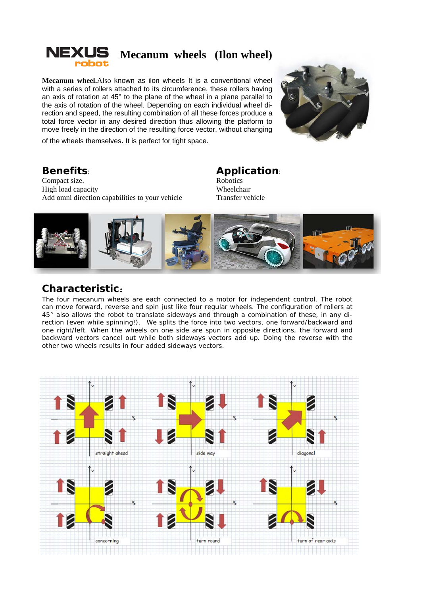

**Mecanum wheel.**Also known as ilon wheels It is a conventional wheel with a series of rollers attached to its circumference, these rollers having an axis of rotation at 45° to the plane of the wheel in a plane parallel to the axis of rotation of the wheel. Depending on each individual wheel direction and speed, the resulting combination of all these forces produce a total force vector in any desired direction thus allowing the platform to move freely in the direction of the resulting force vector, without changing



of the wheels themselves. It is perfect for tight space.

### **Benefits**:

Compact size. High load capacity Add omni direction capabilities to your vehicle

### **Application**:

**Robotics** Wheelchair Transfer vehicle



#### **Characteristic**:

The four mecanum wheels are each connected to a motor for independent control. The robot can move forward, reverse and spin just like four regular wheels. The configuration of rollers at 45° also allows the robot to translate sideways and through a combination of these, in any direction (even while spinning!). We splits the force into two vectors, one forward/backward and one right/left. When the wheels on one side are spun in opposite directions, the forward and backward vectors cancel out while both sideways vectors add up. Doing the reverse with the other two wheels results in four added sideways vectors.